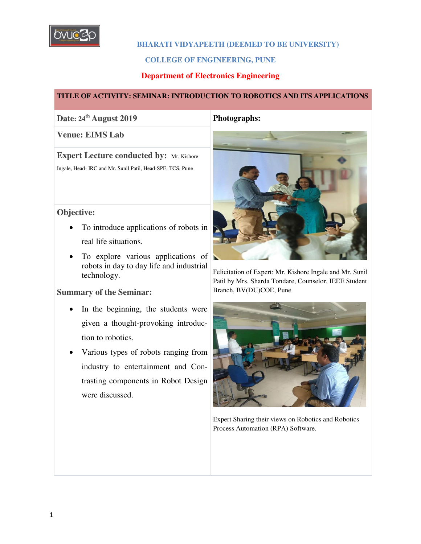

### **BHARATI VIDYAPEETH (DEEMED TO BE UNIVERSITY)**

#### **COLLEGE OF ENGINEERING, PUNE**

## **Department of Electronics Engineering**

#### **TITLE OF ACTIVITY: SEMINAR: INTRODUCTION TO ROBOTICS AND ITS APPLICATIONS**

## **Date: 24th August 2019 Photographs:**

#### **Venue: EIMS Lab**

**Expert Lecture conducted by:** Mr. Kishore

Ingale, Head- IRC and Mr. Sunil Patil, Head-SPE, TCS, Pune

## **Objective:**

- To introduce applications of robots in real life situations.
- To explore various applications of robots in day to day life and industrial technology.

## **Summary of the Seminar:**

- In the beginning, the students were given a thought-provoking introduction to robotics.
- Various types of robots ranging from industry to entertainment and Contrasting components in Robot Design were discussed.



Felicitation of Expert: Mr. Kishore Ingale and Mr. Sunil Patil by Mrs. Sharda Tondare, Counselor, IEEE Student Branch, BV(DU)COE, Pune



Expert Sharing their views on Robotics and Robotics Process Automation (RPA) Software.